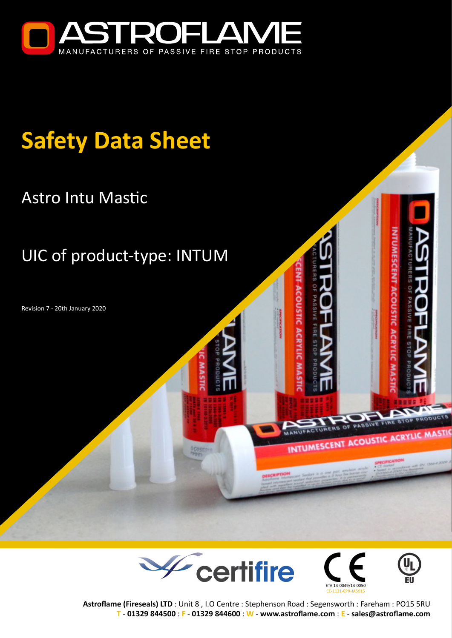

# **Safety Data Sheet**

## Astro Intu Mastic

## UIC of product-type: INTUM

Revision 7 - 20th January 2020





INTUMESCENT ACOUSTIC ACRYLIC



**ACOUSTIC ACRYLI** 

**Astroflame (Fireseals) LTD** : Unit 8 , I.O Centre : Stephenson Road : Segensworth : Fareham : PO15 5RU **T** - **[01329 844500](tel:01329844500)** : **F** - **01329 844600** : **W** - **[www.astroflame.com](https://www.astroflame.com)** : **E** - **[sales@astroflame.com](mailto:sales%40astroflame.com?subject=)**

**ACOUSTIC ACRYLIC**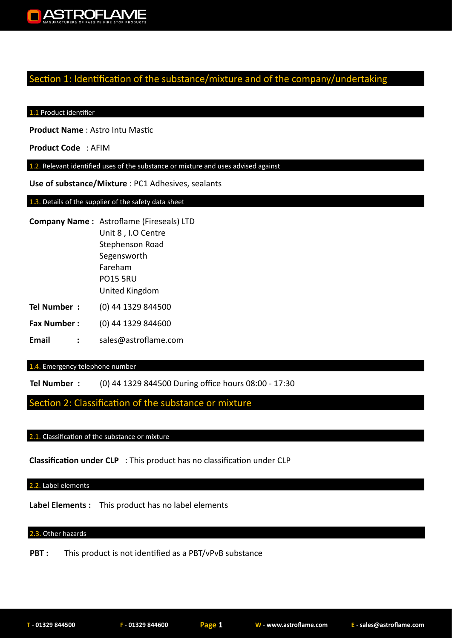

### Section 1: Identification of the substance/mixture and of the company/undertaking

#### 1.1 Product identifier

**Product Name** : Astro Intu Mastic

**Product Code** : AFIM

1.2. Relevant identified uses of the substance or mixture and uses advised against

**Use of substance/Mixture** : PC1 Adhesives, sealants

1.3. Details of the supplier of the safety data sheet

- **Company Name :** Astroflame (Fireseals) LTD Unit 8 , I.O Centre Stephenson Road Segensworth Fareham PO15 5RU United Kingdom
- **Tel Number :** (0) 44 1329 844500
- **Fax Number :** (0) 44 1329 844600
- **Email :** sales@astroflame.com

#### 1.4. Emergency telephone number

**Tel Number :** (0) 44 1329 844500 During office hours 08:00 - 17:30

### Section 2: Classification of the substance or mixture

#### 2.1. Classification of the substance or mixture

**Classification under CLP** : This product has no classification under CLP

#### 2.2. Label elements

**Label Elements :** This product has no label elements

#### 2.3. Other hazards

**PBT :** This product is not identified as a PBT/vPvB substance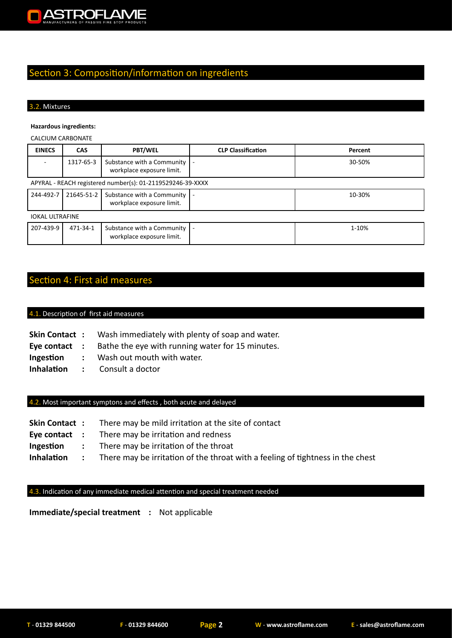

## Section 3: Composition/information on ingredients

#### 3.2. Mixtures

#### **Hazardous ingredients:**

#### CALCIUM CARBONATE

| <b>EINECS</b>                                              | <b>CAS</b> | <b>PBT/WEL</b>                                          | <b>CLP Classification</b> | Percent |
|------------------------------------------------------------|------------|---------------------------------------------------------|---------------------------|---------|
|                                                            | 1317-65-3  | Substance with a Community<br>workplace exposure limit. | $\overline{\phantom{a}}$  | 30-50%  |
| APYRAL - REACH registered number(s): 01-2119529246-39-XXXX |            |                                                         |                           |         |
| 244-492-7                                                  | 21645-51-2 | Substance with a Community<br>workplace exposure limit. | $\overline{\phantom{a}}$  | 10-30%  |
| <b>IOKAL ULTRAFINE</b>                                     |            |                                                         |                           |         |
| 207-439-9                                                  | 471-34-1   | Substance with a Community<br>workplace exposure limit. |                           | 1-10%   |

## Section 4: First aid measures

#### 4.1. Description of first aid measures

- Wash immediately with plenty of soap and water. **Skin Contact :**
- Bathe the eye with running water for 15 minutes. **Eye contact :**
- Wash out mouth with water. **Ingestion :**
- Consult a doctor **Inhalation :**

#### 4.2. Most important symptons and effects , both acute and delayed

- There may be mild irritation at the site of contact **Skin Contact :**
- There may be irritation and redness **Eye contact :**
- There may be irritation of the throat **Ingestion :**
- There may be irritation of the throat with a feeling of tightness in the chest **Inhalation :**

#### 4.3. Indication of any immediate medical attention and special treatment needed

**Immediate/special treatment :** Not applicable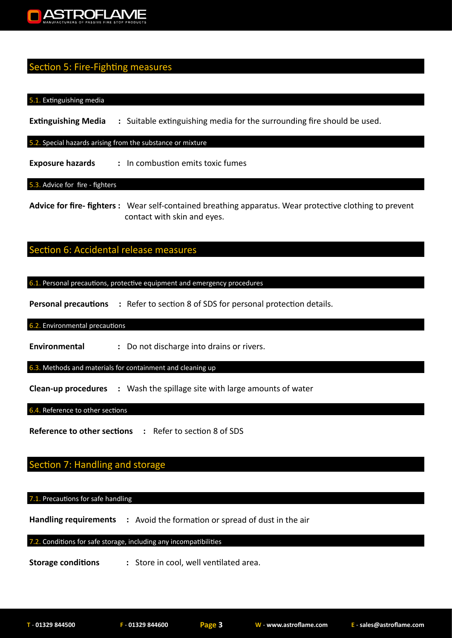

## Section 5: Fire-Fighting measures

#### 5.1. Extinguishing media

**Extinguishing Media** : Suitable extinguishing media for the surrounding fire should be used.

#### 5.2. Special hazards arising from the substance or mixture

**Exposure hazards : In combustion emits toxic fumes** 

#### 5.3. Advice for fire - fighters

**Advice for fire- fighters :** Wear self-contained breathing apparatus. Wear protective clothing to prevent contact with skin and eyes.

## Section 6: Accidental release measures

6.1. Personal precautions, protective equipment and emergency procedures

**Personal precautions :** Refer to section 8 of SDS for personal protection details.

#### 6.2. Environmental precautions

**Environmental :** Do not discharge into drains or rivers.

6.3. Methods and materials for containment and cleaning up

**Clean-up procedures :** Wash the spillage site with large amounts of water

#### 6.4. Reference to other sections

**Reference to other sections :** Refer to section 8 of SDS

## Section 7: Handling and storage

#### 7.1. Precautions for safe handling

**Handling requirements :** Avoid the formation or spread of dust in the air

7.2. Conditions for safe storage, including any incompatibilities

**Storage conditions : Store in cool, well ventilated area.**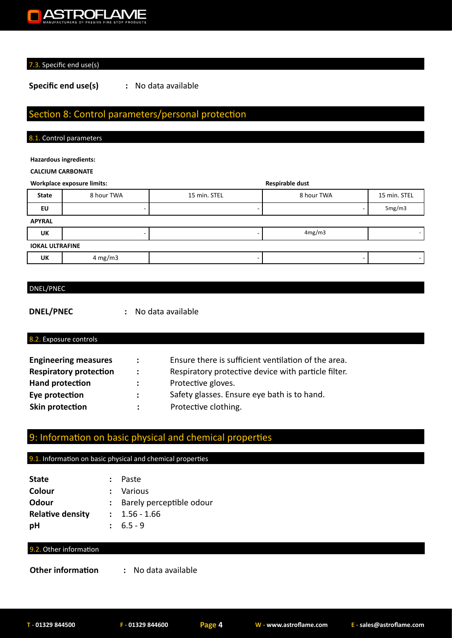## **ASTROFLAME**

#### 7.3. Specific end use(s)

**Specific end use(s) :** No data available

## Section 8: Control parameters/personal protection

#### 8.1. Control parameters

#### **Hazardous ingredients:**

#### **CALCIUM CARBONATE**

#### **Workplace exposure limits: Respirable dust**

|                        | <b>WUINDIALE EXPUSSILE IIIIIILS.</b> | nespliable uust |            |              |  |
|------------------------|--------------------------------------|-----------------|------------|--------------|--|
| <b>State</b>           | 8 hour TWA                           | 15 min. STEL    | 8 hour TWA | 15 min. STEL |  |
| EU                     |                                      |                 |            | 5mg/m3       |  |
| <b>APYRAL</b>          |                                      |                 |            |              |  |
| UK                     |                                      |                 | 4mg/m3     |              |  |
| <b>IOKAL ULTRAFINE</b> |                                      |                 |            |              |  |
| UK                     | 4 mg/m3                              |                 |            |              |  |

#### DNEL/PNEC

**DNEL/PNEC :** No data available

#### 8.2. Exposure controls

| <b>Engineering measures</b>   | $\mathbb{R}^n$       | Ensure there is sufficient ventilation of the area. |
|-------------------------------|----------------------|-----------------------------------------------------|
| <b>Respiratory protection</b> | $\ddot{\phantom{a}}$ | Respiratory protective device with particle filter. |
| <b>Hand protection</b>        | $\mathcal{L}$        | Protective gloves.                                  |
| Eye protection                | $\ddot{\phantom{a}}$ | Safety glasses. Ensure eye bath is to hand.         |
| Skin protection               |                      | Protective clothing.                                |

## 9: Information on basic physical and chemical properties

#### 9.1. Information on basic physical and chemical properties

| <b>State</b>            | : Paste                    |
|-------------------------|----------------------------|
| Colour                  | : Various                  |
| Odour                   | : Barely perceptible odour |
| <b>Relative density</b> | $: 1.56 - 1.66$            |
| рH                      | $: 6.5 - 9$                |

#### 9.2. Other information

**Other information :** No data available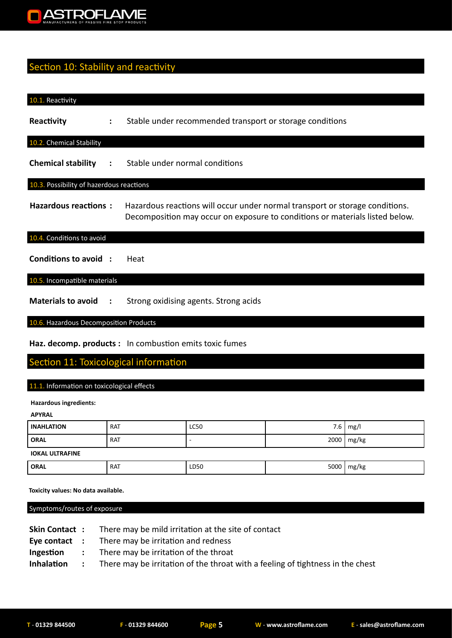

## Section 10: Stability and reactivity

| 10.1. Reactivity                         |   |                                                                                                                                                              |
|------------------------------------------|---|--------------------------------------------------------------------------------------------------------------------------------------------------------------|
| Reactivity                               | ÷ | Stable under recommended transport or storage conditions                                                                                                     |
| 10.2. Chemical Stability                 |   |                                                                                                                                                              |
|                                          |   | <b>Chemical stability :</b> Stable under normal conditions                                                                                                   |
| 10.3. Possibility of hazerdous reactions |   |                                                                                                                                                              |
| <b>Hazardous reactions:</b>              |   | Hazardous reactions will occur under normal transport or storage conditions.<br>Decomposition may occur on exposure to conditions or materials listed below. |
| 10.4. Conditions to avoid                |   |                                                                                                                                                              |
| Conditions to avoid :                    |   | Heat                                                                                                                                                         |
| 10.5. Incompatible materials             |   |                                                                                                                                                              |
| Materials to avoid :                     |   | Strong oxidising agents. Strong acids                                                                                                                        |
| 10.6. Hazardous Decomposition Products   |   |                                                                                                                                                              |

**Haz. decomp. products :** In combustion emits toxic fumes

## Section 11: Toxicological information

#### 11.1. Information on toxicological effects

**Hazardous ingredients:**

| <b>APYRAL</b>          |            |      |      |              |
|------------------------|------------|------|------|--------------|
| <b>INAHLATION</b>      | <b>RAT</b> | LC50 | 7.6  | mg/l         |
| <b>ORAL</b>            | <b>RAT</b> |      | 2000 | mg/kg        |
| <b>IOKAL ULTRAFINE</b> |            |      |      |              |
| <b>ORAL</b>            | <b>RAT</b> | LD50 |      | 5000   mg/kg |

 **Toxicity values: No data available.**

Symptoms/routes of exposure

| <b>Skin Contact:</b> | There may be mild irritation at the site of contact                            |
|----------------------|--------------------------------------------------------------------------------|
| Eye contact :        | There may be irritation and redness                                            |
| Ingestion :          | There may be irritation of the throat                                          |
| Inhalation :         | There may be irritation of the throat with a feeling of tightness in the chest |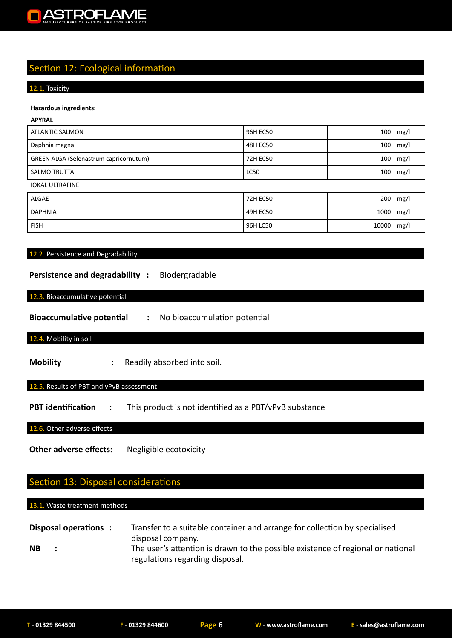

## Section 12: Ecological information

#### 12.1. Toxicity

#### **Hazardous ingredients:**

#### **APYRAL**

| <b>ATLANTIC SALMON</b>                        | 96H EC50    | 100  | mg/l |
|-----------------------------------------------|-------------|------|------|
| Daphnia magna                                 | 48H EC50    | 100  | mg/l |
| <b>GREEN ALGA (Selenastrum capricornutum)</b> | 72H EC50    | 100  | mg/l |
| <b>SALMO TRUTTA</b>                           | <b>LC50</b> | 100  | mg/l |
| <b>IOKAL ULTRAFINE</b>                        |             |      |      |
| ALGAE                                         | 72H EC50    | 200  | mg/l |
| <b>DAPHNIA</b>                                | 49H EC50    | 1000 | mg/l |

FISH 10000 mg/l

#### 12.2. Persistence and Degradability

#### **Persistence and degradability :** Biodergradable

#### 12.3. Bioaccumulative potential

**Bioaccumulative potential :** No bioaccumulation potential

#### 12.4. Mobility in soil

**Mobility** : Readily absorbed into soil.

#### 12.5. Results of PBT and vPvB assessment

**PBT identification :** This product is not identified as a PBT/vPvB substance

12.6. Other adverse effects

**Other adverse effects:** Negligible ecotoxicity

## Section 13: Disposal considerations

#### 13.1. Waste treatment methods

| Disposal operations : | Transfer to a suitable container and arrange for collection by specialised                                                              |
|-----------------------|-----------------------------------------------------------------------------------------------------------------------------------------|
| <b>NB</b>             | disposal company.<br>The user's attention is drawn to the possible existence of regional or national<br>regulations regarding disposal. |